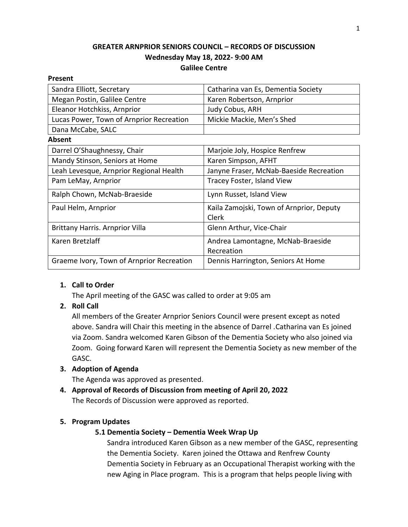# **GREATER ARNPRIOR SENIORS COUNCIL – RECORDS OF DISCUSSION Wednesday May 18, 2022- 9:00 AM Galilee Centre**

# **Present** Sandra Elliott, Secretary Catharina van Es, Dementia Society Megan Postin, Galilee Centre Karen Robertson, Arnprior Eleanor Hotchkiss, Arnprior Judy Cobus, ARH Lucas Power, Town of Arnprior Recreation | Mickie Mackie, Men's Shed Dana McCabe, SALC **Absent** Darrel O'Shaughnessy, Chair Marjoie Joly, Hospice Renfrew Mandy Stinson, Seniors at Home Karen Simpson, AFHT Leah Levesque, Arnprior Regional Health | Janyne Fraser, McNab-Baeside Recreation Pam LeMay, Arnprior Tracey Foster, Island View Ralph Chown, McNab-Braeside Lynn Russet, Island View Paul Helm, Arnprior **Kaila Zamojski, Town of Arnprior, Deputy** Clerk Brittany Harris. Arnprior Villa Glenn Arthur, Vice-Chair Karen Bretzlaff Andrea Lamontagne, McNab-Braeside Recreation Graeme Ivory, Town of Arnprior Recreation | Dennis Harrington, Seniors At Home

# **1. Call to Order**

The April meeting of the GASC was called to order at 9:05 am

# **2. Roll Call**

All members of the Greater Arnprior Seniors Council were present except as noted above. Sandra will Chair this meeting in the absence of Darrel .Catharina van Es joined via Zoom. Sandra welcomed Karen Gibson of the Dementia Society who also joined via Zoom. Going forward Karen will represent the Dementia Society as new member of the GASC.

# **3. Adoption of Agenda**

The Agenda was approved as presented.

**4. Approval of Records of Discussion from meeting of April 20, 2022** The Records of Discussion were approved as reported.

# **5. Program Updates**

# **5.1 Dementia Society – Dementia Week Wrap Up**

Sandra introduced Karen Gibson as a new member of the GASC, representing the Dementia Society. Karen joined the Ottawa and Renfrew County Dementia Society in February as an Occupational Therapist working with the new Aging in Place program. This is a program that helps people living with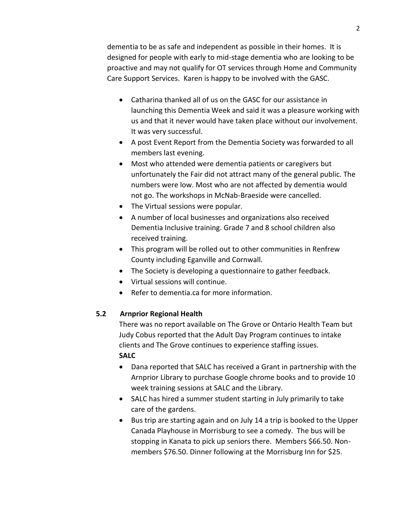dementia to be as safe and independent as possible in their homes. It is designed for people with early to mid-stage dementia who are looking to be proactive and may not qualify for OT services through Home and Community Care Support Services. Karen is happy to be involved with the GASC.

- Catharina thanked all of us on the GASC for our assistance in launching this Dementia Week and said it was a pleasure working with us and that it never would have taken place without our involvement. It was very successful.
- A post Event Report from the Dementia Society was forwarded to all members last evening.
- Most who attended were dementia patients or caregivers but unfortunately the Fair did not attract many of the general public. The numbers were low. Most who are not affected by dementia would not go. The workshops in McNab-Braeside were cancelled.
- The Virtual sessions were popular.
- A number of local businesses and organizations also received Dementia Inclusive training. Grade 7 and 8 school children also received training.
- This program will be rolled out to other communities in Renfrew County including Eganville and Cornwall.
- The Society is developing a questionnaire to gather feedback.
- Virtual sessions will continue.
- Refer to dementia.ca for more information.

### **5.2 Arnprior Regional Health**

There was no report available on The Grove or Ontario Health Team but Judy Cobus reported that the Adult Day Program continues to intake clients and The Grove continues to experience staffing issues. **SALC**

- Dana reported that SALC has received a Grant in partnership with the Arnprior Library to purchase Google chrome books and to provide 10 week training sessions at SALC and the Library.
- SALC has hired a summer student starting in July primarily to take care of the gardens.
- Bus trip are starting again and on July 14 a trip is booked to the Upper Canada Playhouse in Morrisburg to see a comedy. The bus will be stopping in Kanata to pick up seniors there. Members \$66.50. Nonmembers \$76.50. Dinner following at the Morrisburg Inn for \$25.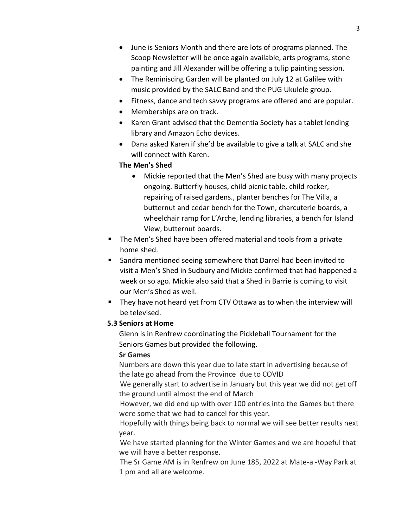- June is Seniors Month and there are lots of programs planned. The Scoop Newsletter will be once again available, arts programs, stone painting and Jill Alexander will be offering a tulip painting session.
- The Reminiscing Garden will be planted on July 12 at Galilee with music provided by the SALC Band and the PUG Ukulele group.
- Fitness, dance and tech savvy programs are offered and are popular.
- Memberships are on track.
- Karen Grant advised that the Dementia Society has a tablet lending library and Amazon Echo devices.
- Dana asked Karen if she'd be available to give a talk at SALC and she will connect with Karen.

# **The Men's Shed**

- Mickie reported that the Men's Shed are busy with many projects ongoing. Butterfly houses, child picnic table, child rocker, repairing of raised gardens., planter benches for The Villa, a butternut and cedar bench for the Town, charcuterie boards, a wheelchair ramp for L'Arche, lending libraries, a bench for Island View, butternut boards.
- The Men's Shed have been offered material and tools from a private home shed.
- Sandra mentioned seeing somewhere that Darrel had been invited to visit a Men's Shed in Sudbury and Mickie confirmed that had happened a week or so ago. Mickie also said that a Shed in Barrie is coming to visit our Men's Shed as well.
- They have not heard yet from CTV Ottawa as to when the interview will be televised.

# **5.3 Seniors at Home**

Glenn is in Renfrew coordinating the Pickleball Tournament for the Seniors Games but provided the following.

# **Sr Games**

Numbers are down this year due to late start in advertising because of the late go ahead from the Province due to COVID

We generally start to advertise in January but this year we did not get off the ground until almost the end of March

However, we did end up with over 100 entries into the Games but there were some that we had to cancel for this year.

Hopefully with things being back to normal we will see better results next year.

We have started planning for the Winter Games and we are hopeful that we will have a better response.

The Sr Game AM is in Renfrew on June 185, 2022 at Mate-a -Way Park at 1 pm and all are welcome.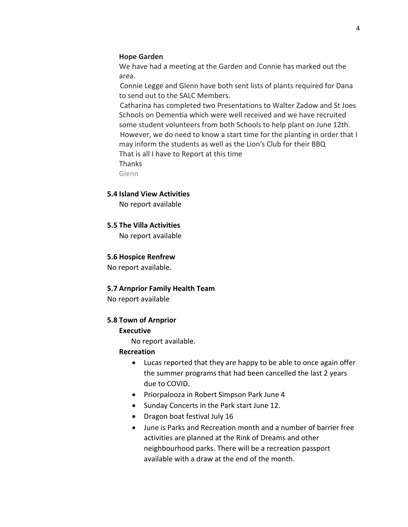#### **Hope Garden**

We have had a meeting at the Garden and Connie has marked out the area.

Connie Legge and Glenn have both sent lists of plants required for Dana to send out to the SALC Members.

Catharina has completed two Presentations to Walter Zadow and St Joes Schools on Dementia which were well received and we have recruited some student volunteers from both Schools to help plant on June 12th. However, we do need to know a start time for the planting in order that I may inform the students as well as the Lion's Club for their BBQ That is all I have to Report at this time Thanks

Glenn

#### **5.4 Island View Activities**

No report available

#### **5.5 The Villa Activities**

No report available

#### **5.6 Hospice Renfrew**

No report available.

#### **5.7 Arnprior Family Health Team**

No report available

#### **5.8 Town of Arnprior**

#### **Executive**

No report available.

#### **Recreation**

- Lucas reported that they are happy to be able to once again offer the summer programs that had been cancelled the last 2 years due to COVID.
- Priorpalooza in Robert Simpson Park June 4
- Sunday Concerts in the Park start June 12.
- Dragon boat festival July 16
- June is Parks and Recreation month and a number of barrier free activities are planned at the Rink of Dreams and other neighbourhood parks. There will be a recreation passport available with a draw at the end of the month.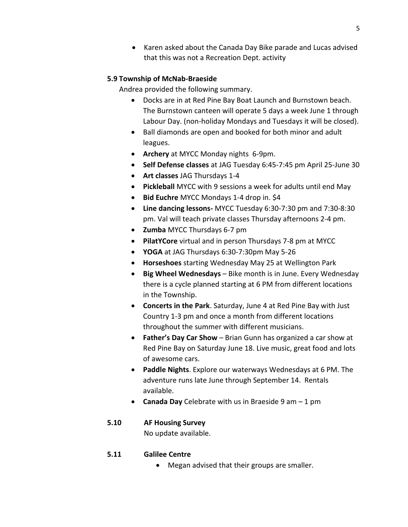• Karen asked about the Canada Day Bike parade and Lucas advised that this was not a Recreation Dept. activity

### **5.9 Township of McNab-Braeside**

Andrea provided the following summary.

- Docks are in at Red Pine Bay Boat Launch and Burnstown beach. The Burnstown canteen will operate 5 days a week June 1 through Labour Day. (non-holiday Mondays and Tuesdays it will be closed).
- Ball diamonds are open and booked for both minor and adult leagues.
- **Archery** at MYCC Monday nights 6-9pm.
- **Self Defense classes** at JAG Tuesday 6:45-7:45 pm April 25-June 30
- **Art classes** JAG Thursdays 1-4
- **Pickleball** MYCC with 9 sessions a week for adults until end May
- **Bid Euchre** MYCC Mondays 1-4 drop in. \$4
- **Line dancing lessons-** MYCC Tuesday 6:30-7:30 pm and 7:30-8:30 pm. Val will teach private classes Thursday afternoons 2-4 pm.
- **Zumba** MYCC Thursdays 6-7 pm
- **PilatYCore** virtual and in person Thursdays 7-8 pm at MYCC
- **YOGA** at JAG Thursdays 6:30-7:30pm May 5-26
- **Horseshoes** starting Wednesday May 25 at Wellington Park
- **Big Wheel Wednesdays** Bike month is in June. Every Wednesday there is a cycle planned starting at 6 PM from different locations in the Township.
- **Concerts in the Park**. Saturday, June 4 at Red Pine Bay with Just Country 1-3 pm and once a month from different locations throughout the summer with different musicians.
- **Father's Day Car Show** Brian Gunn has organized a car show at Red Pine Bay on Saturday June 18. Live music, great food and lots of awesome cars.
- **Paddle Nights**. Explore our waterways Wednesdays at 6 PM. The adventure runs late June through September 14. Rentals available.
- **Canada Day** Celebrate with us in Braeside 9 am 1 pm

# **5.10 AF Housing Survey**

No update available.

# **5.11 Galilee Centre**

• Megan advised that their groups are smaller.